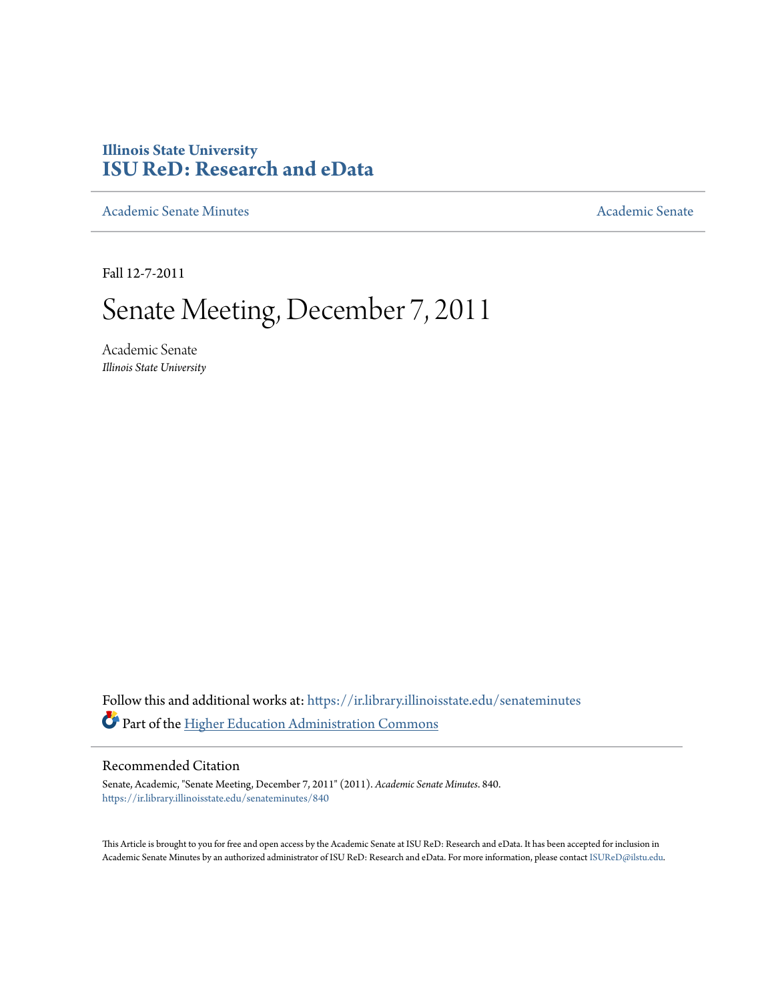# **Illinois State University [ISU ReD: Research and eData](https://ir.library.illinoisstate.edu?utm_source=ir.library.illinoisstate.edu%2Fsenateminutes%2F840&utm_medium=PDF&utm_campaign=PDFCoverPages)**

[Academic Senate Minutes](https://ir.library.illinoisstate.edu/senateminutes?utm_source=ir.library.illinoisstate.edu%2Fsenateminutes%2F840&utm_medium=PDF&utm_campaign=PDFCoverPages) [Academic Senate](https://ir.library.illinoisstate.edu/senate?utm_source=ir.library.illinoisstate.edu%2Fsenateminutes%2F840&utm_medium=PDF&utm_campaign=PDFCoverPages) Academic Senate

Fall 12-7-2011

# Senate Meeting, December 7, 2011

Academic Senate *Illinois State University*

Follow this and additional works at: [https://ir.library.illinoisstate.edu/senateminutes](https://ir.library.illinoisstate.edu/senateminutes?utm_source=ir.library.illinoisstate.edu%2Fsenateminutes%2F840&utm_medium=PDF&utm_campaign=PDFCoverPages) Part of the [Higher Education Administration Commons](http://network.bepress.com/hgg/discipline/791?utm_source=ir.library.illinoisstate.edu%2Fsenateminutes%2F840&utm_medium=PDF&utm_campaign=PDFCoverPages)

#### Recommended Citation

Senate, Academic, "Senate Meeting, December 7, 2011" (2011). *Academic Senate Minutes*. 840. [https://ir.library.illinoisstate.edu/senateminutes/840](https://ir.library.illinoisstate.edu/senateminutes/840?utm_source=ir.library.illinoisstate.edu%2Fsenateminutes%2F840&utm_medium=PDF&utm_campaign=PDFCoverPages)

This Article is brought to you for free and open access by the Academic Senate at ISU ReD: Research and eData. It has been accepted for inclusion in Academic Senate Minutes by an authorized administrator of ISU ReD: Research and eData. For more information, please contact [ISUReD@ilstu.edu.](mailto:ISUReD@ilstu.edu)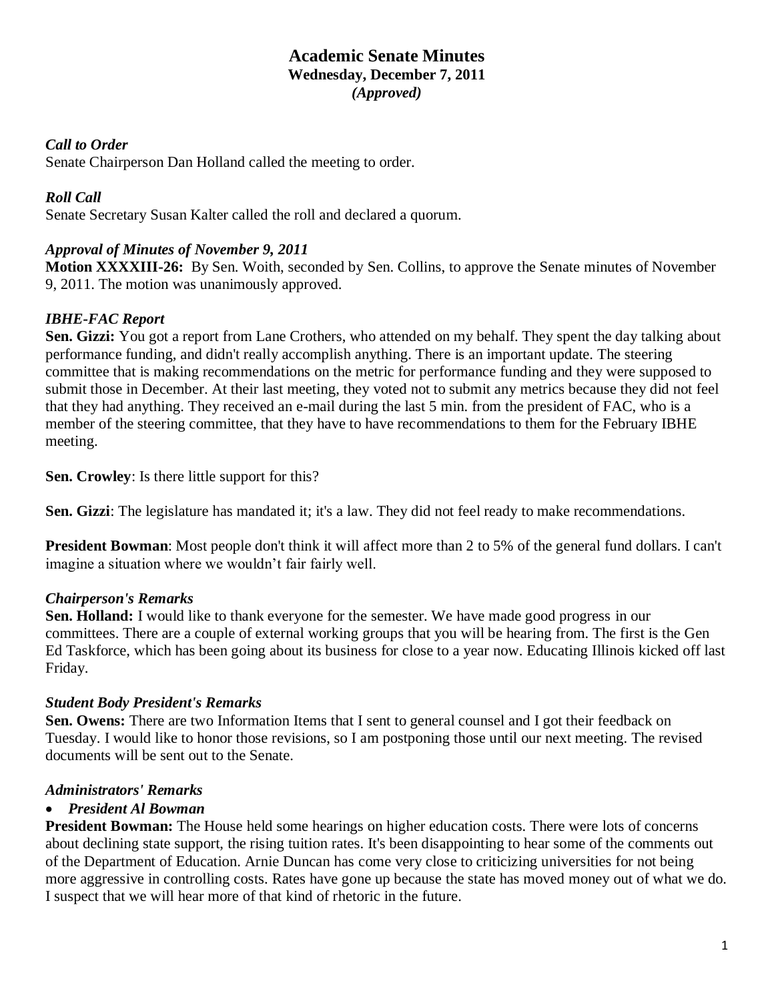# **Academic Senate Minutes Wednesday, December 7, 2011** *(Approved)*

#### *Call to Order*

Senate Chairperson Dan Holland called the meeting to order.

# *Roll Call*

Senate Secretary Susan Kalter called the roll and declared a quorum.

# *Approval of Minutes of November 9, 2011*

**Motion XXXXIII-26:** By Sen. Woith, seconded by Sen. Collins, to approve the Senate minutes of November 9, 2011. The motion was unanimously approved.

# *IBHE-FAC Report*

**Sen. Gizzi:** You got a report from Lane Crothers, who attended on my behalf. They spent the day talking about performance funding, and didn't really accomplish anything. There is an important update. The steering committee that is making recommendations on the metric for performance funding and they were supposed to submit those in December. At their last meeting, they voted not to submit any metrics because they did not feel that they had anything. They received an e-mail during the last 5 min. from the president of FAC, who is a member of the steering committee, that they have to have recommendations to them for the February IBHE meeting.

**Sen. Crowley**: Is there little support for this?

**Sen. Gizzi**: The legislature has mandated it; it's a law. They did not feel ready to make recommendations.

**President Bowman**: Most people don't think it will affect more than 2 to 5% of the general fund dollars. I can't imagine a situation where we wouldn't fair fairly well.

# *Chairperson's Remarks*

**Sen. Holland:** I would like to thank everyone for the semester. We have made good progress in our committees. There are a couple of external working groups that you will be hearing from. The first is the Gen Ed Taskforce, which has been going about its business for close to a year now. Educating Illinois kicked off last Friday.

# *Student Body President's Remarks*

**Sen. Owens:** There are two Information Items that I sent to general counsel and I got their feedback on Tuesday. I would like to honor those revisions, so I am postponing those until our next meeting. The revised documents will be sent out to the Senate.

# *Administrators' Remarks*

# • *President Al Bowman*

**President Bowman:** The House held some hearings on higher education costs. There were lots of concerns about declining state support, the rising tuition rates. It's been disappointing to hear some of the comments out of the Department of Education. Arnie Duncan has come very close to criticizing universities for not being more aggressive in controlling costs. Rates have gone up because the state has moved money out of what we do. I suspect that we will hear more of that kind of rhetoric in the future.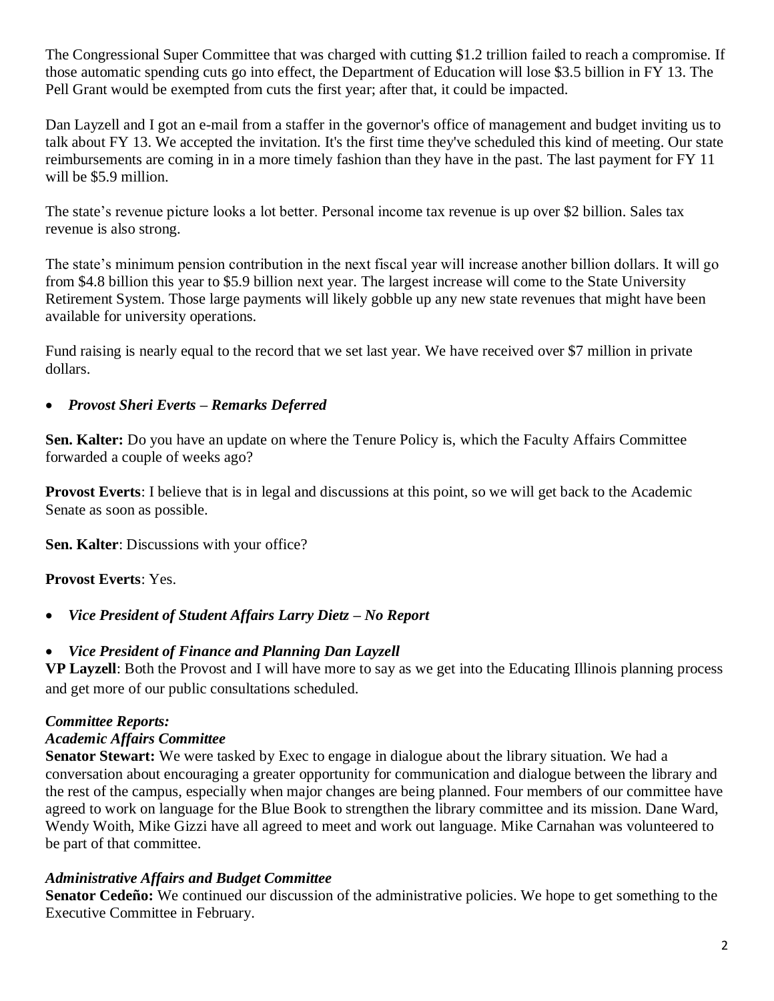The Congressional Super Committee that was charged with cutting \$1.2 trillion failed to reach a compromise. If those automatic spending cuts go into effect, the Department of Education will lose \$3.5 billion in FY 13. The Pell Grant would be exempted from cuts the first year; after that, it could be impacted.

Dan Layzell and I got an e-mail from a staffer in the governor's office of management and budget inviting us to talk about FY 13. We accepted the invitation. It's the first time they've scheduled this kind of meeting. Our state reimbursements are coming in in a more timely fashion than they have in the past. The last payment for FY 11 will be \$5.9 million.

The state's revenue picture looks a lot better. Personal income tax revenue is up over \$2 billion. Sales tax revenue is also strong.

The state's minimum pension contribution in the next fiscal year will increase another billion dollars. It will go from \$4.8 billion this year to \$5.9 billion next year. The largest increase will come to the State University Retirement System. Those large payments will likely gobble up any new state revenues that might have been available for university operations.

Fund raising is nearly equal to the record that we set last year. We have received over \$7 million in private dollars.

# • *Provost Sheri Everts – Remarks Deferred*

**Sen. Kalter:** Do you have an update on where the Tenure Policy is, which the Faculty Affairs Committee forwarded a couple of weeks ago?

**Provost Everts**: I believe that is in legal and discussions at this point, so we will get back to the Academic Senate as soon as possible.

**Sen. Kalter**: Discussions with your office?

# **Provost Everts**: Yes.

• *Vice President of Student Affairs Larry Dietz – No Report*

# • *Vice President of Finance and Planning Dan Layzell*

**VP Layzell**: Both the Provost and I will have more to say as we get into the Educating Illinois planning process and get more of our public consultations scheduled.

# *Committee Reports:*

# *Academic Affairs Committee*

**Senator Stewart:** We were tasked by Exec to engage in dialogue about the library situation. We had a conversation about encouraging a greater opportunity for communication and dialogue between the library and the rest of the campus, especially when major changes are being planned. Four members of our committee have agreed to work on language for the Blue Book to strengthen the library committee and its mission. Dane Ward, Wendy Woith, Mike Gizzi have all agreed to meet and work out language. Mike Carnahan was volunteered to be part of that committee.

# *Administrative Affairs and Budget Committee*

**Senator Cedeño:** We continued our discussion of the administrative policies. We hope to get something to the Executive Committee in February.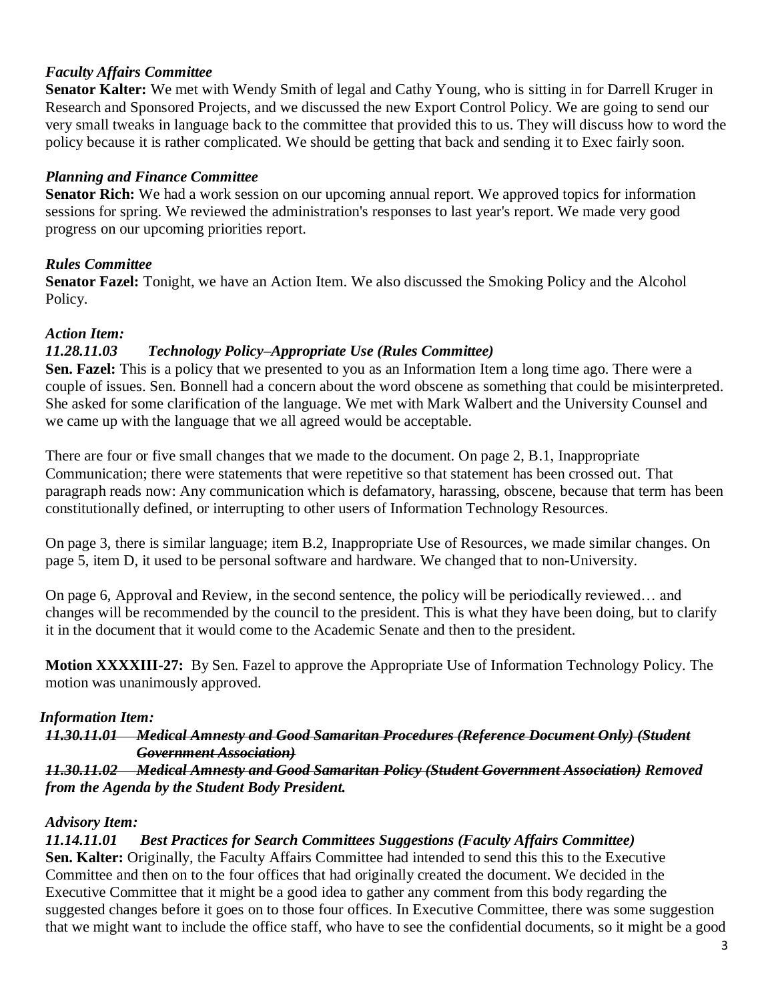#### *Faculty Affairs Committee*

**Senator Kalter:** We met with Wendy Smith of legal and Cathy Young, who is sitting in for Darrell Kruger in Research and Sponsored Projects, and we discussed the new Export Control Policy. We are going to send our very small tweaks in language back to the committee that provided this to us. They will discuss how to word the policy because it is rather complicated. We should be getting that back and sending it to Exec fairly soon.

#### *Planning and Finance Committee*

**Senator Rich:** We had a work session on our upcoming annual report. We approved topics for information sessions for spring. We reviewed the administration's responses to last year's report. We made very good progress on our upcoming priorities report.

#### *Rules Committee*

**Senator Fazel:** Tonight, we have an Action Item. We also discussed the Smoking Policy and the Alcohol Policy.

#### *Action Item:*

#### *11.28.11.03 Technology Policy–Appropriate Use (Rules Committee)*

**Sen. Fazel:** This is a policy that we presented to you as an Information Item a long time ago. There were a couple of issues. Sen. Bonnell had a concern about the word obscene as something that could be misinterpreted. She asked for some clarification of the language. We met with Mark Walbert and the University Counsel and we came up with the language that we all agreed would be acceptable.

There are four or five small changes that we made to the document. On page 2, B.1, Inappropriate Communication; there were statements that were repetitive so that statement has been crossed out. That paragraph reads now: Any communication which is defamatory, harassing, obscene, because that term has been constitutionally defined, or interrupting to other users of Information Technology Resources.

On page 3, there is similar language; item B.2, Inappropriate Use of Resources, we made similar changes. On page 5, item D, it used to be personal software and hardware. We changed that to non-University.

On page 6, Approval and Review, in the second sentence, the policy will be periodically reviewed… and changes will be recommended by the council to the president. This is what they have been doing, but to clarify it in the document that it would come to the Academic Senate and then to the president.

**Motion XXXXIII-27:** By Sen. Fazel to approve the Appropriate Use of Information Technology Policy. The motion was unanimously approved.

#### *Information Item:*

#### *11.30.11.01 Medical Amnesty and Good Samaritan Procedures (Reference Document Only) (Student Government Association)*

*11.30.11.02 Medical Amnesty and Good Samaritan Policy (Student Government Association) Removed from the Agenda by the Student Body President.*

#### *Advisory Item:*

# *11.14.11.01 Best Practices for Search Committees Suggestions (Faculty Affairs Committee)*

**Sen. Kalter:** Originally, the Faculty Affairs Committee had intended to send this this to the Executive Committee and then on to the four offices that had originally created the document. We decided in the Executive Committee that it might be a good idea to gather any comment from this body regarding the suggested changes before it goes on to those four offices. In Executive Committee, there was some suggestion that we might want to include the office staff, who have to see the confidential documents, so it might be a good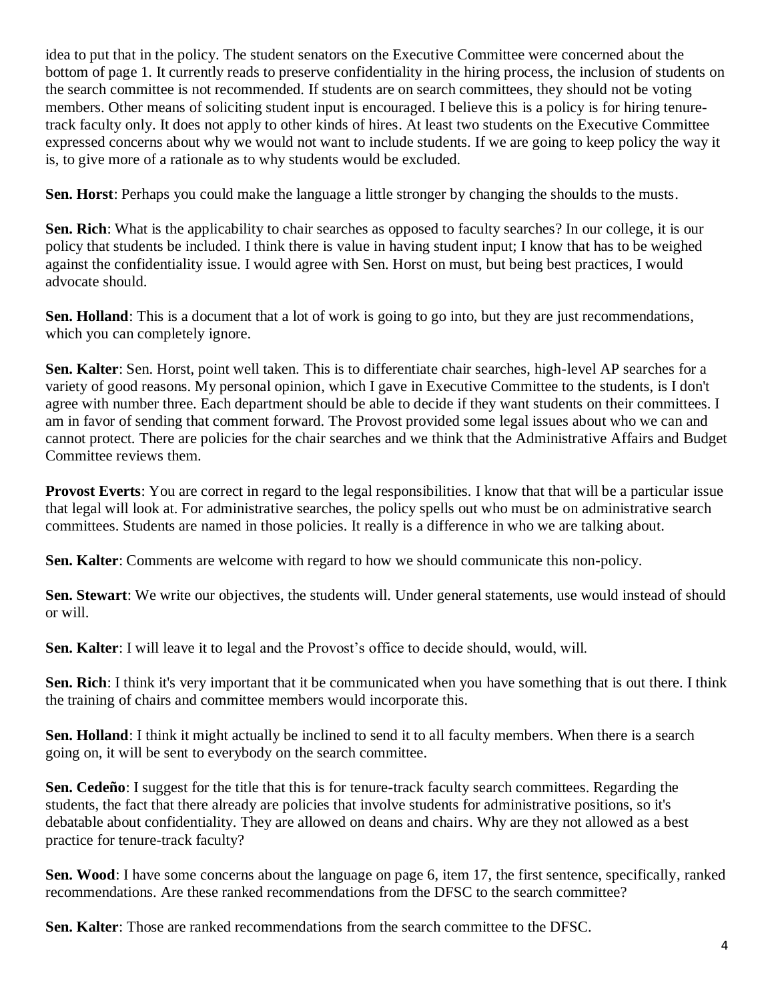idea to put that in the policy. The student senators on the Executive Committee were concerned about the bottom of page 1. It currently reads to preserve confidentiality in the hiring process, the inclusion of students on the search committee is not recommended. If students are on search committees, they should not be voting members. Other means of soliciting student input is encouraged. I believe this is a policy is for hiring tenuretrack faculty only. It does not apply to other kinds of hires. At least two students on the Executive Committee expressed concerns about why we would not want to include students. If we are going to keep policy the way it is, to give more of a rationale as to why students would be excluded.

**Sen. Horst**: Perhaps you could make the language a little stronger by changing the shoulds to the musts.

**Sen. Rich**: What is the applicability to chair searches as opposed to faculty searches? In our college, it is our policy that students be included. I think there is value in having student input; I know that has to be weighed against the confidentiality issue. I would agree with Sen. Horst on must, but being best practices, I would advocate should.

**Sen. Holland**: This is a document that a lot of work is going to go into, but they are just recommendations, which you can completely ignore.

**Sen. Kalter**: Sen. Horst, point well taken. This is to differentiate chair searches, high-level AP searches for a variety of good reasons. My personal opinion, which I gave in Executive Committee to the students, is I don't agree with number three. Each department should be able to decide if they want students on their committees. I am in favor of sending that comment forward. The Provost provided some legal issues about who we can and cannot protect. There are policies for the chair searches and we think that the Administrative Affairs and Budget Committee reviews them.

**Provost Everts**: You are correct in regard to the legal responsibilities. I know that that will be a particular issue that legal will look at. For administrative searches, the policy spells out who must be on administrative search committees. Students are named in those policies. It really is a difference in who we are talking about.

**Sen. Kalter**: Comments are welcome with regard to how we should communicate this non-policy.

**Sen. Stewart**: We write our objectives, the students will. Under general statements, use would instead of should or will.

**Sen. Kalter**: I will leave it to legal and the Provost's office to decide should, would, will.

**Sen. Rich**: I think it's very important that it be communicated when you have something that is out there. I think the training of chairs and committee members would incorporate this.

**Sen. Holland**: I think it might actually be inclined to send it to all faculty members. When there is a search going on, it will be sent to everybody on the search committee.

**Sen. Cedeño**: I suggest for the title that this is for tenure-track faculty search committees. Regarding the students, the fact that there already are policies that involve students for administrative positions, so it's debatable about confidentiality. They are allowed on deans and chairs. Why are they not allowed as a best practice for tenure-track faculty?

**Sen. Wood**: I have some concerns about the language on page 6, item 17, the first sentence, specifically, ranked recommendations. Are these ranked recommendations from the DFSC to the search committee?

**Sen. Kalter**: Those are ranked recommendations from the search committee to the DFSC.